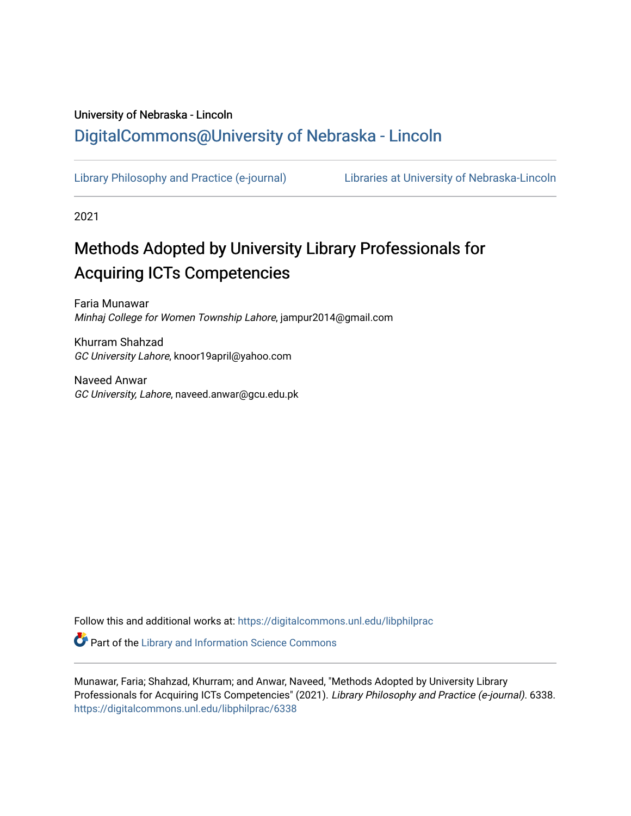## University of Nebraska - Lincoln [DigitalCommons@University of Nebraska - Lincoln](https://digitalcommons.unl.edu/)

[Library Philosophy and Practice \(e-journal\)](https://digitalcommons.unl.edu/libphilprac) [Libraries at University of Nebraska-Lincoln](https://digitalcommons.unl.edu/libraries) 

2021

# Methods Adopted by University Library Professionals for Acquiring ICTs Competencies

Faria Munawar Minhaj College for Women Township Lahore, jampur2014@gmail.com

Khurram Shahzad GC University Lahore, knoor19april@yahoo.com

Naveed Anwar GC University, Lahore, naveed.anwar@gcu.edu.pk

Follow this and additional works at: [https://digitalcommons.unl.edu/libphilprac](https://digitalcommons.unl.edu/libphilprac?utm_source=digitalcommons.unl.edu%2Flibphilprac%2F6338&utm_medium=PDF&utm_campaign=PDFCoverPages) 

**C** Part of the Library and Information Science Commons

Munawar, Faria; Shahzad, Khurram; and Anwar, Naveed, "Methods Adopted by University Library Professionals for Acquiring ICTs Competencies" (2021). Library Philosophy and Practice (e-journal). 6338. [https://digitalcommons.unl.edu/libphilprac/6338](https://digitalcommons.unl.edu/libphilprac/6338?utm_source=digitalcommons.unl.edu%2Flibphilprac%2F6338&utm_medium=PDF&utm_campaign=PDFCoverPages)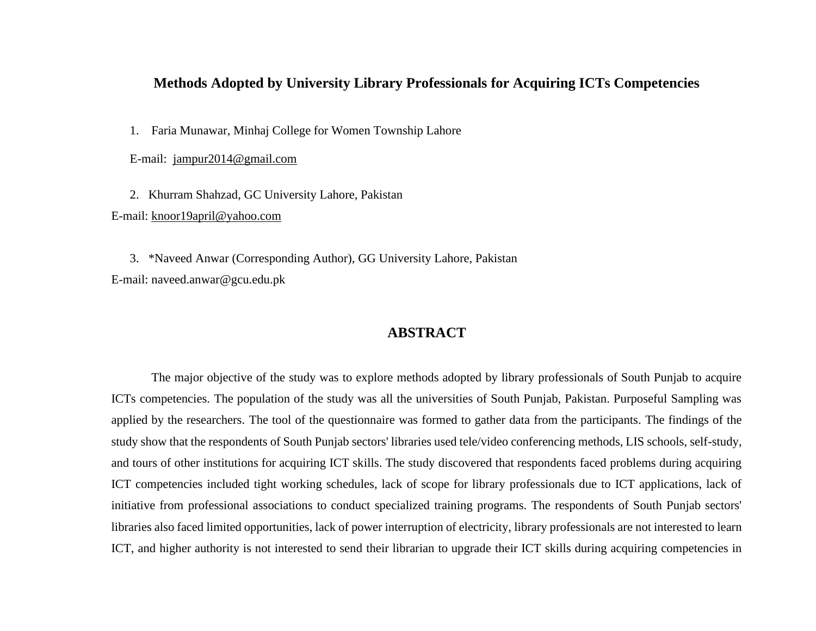## **Methods Adopted by University Library Professionals for Acquiring ICTs Competencies**

1. Faria Munawar, Minhaj College for Women Township Lahore

E-mail: [jampur2014@gmail.com](mailto:jampur2014@gmail.com)

2. Khurram Shahzad, GC University Lahore, Pakistan

E-mail: [knoor19april@yahoo.com](mailto:knoor19april@yahoo.com)

3. \*Naveed Anwar (Corresponding Author), GG University Lahore, Pakistan E-mail: naveed.anwar@gcu.edu.pk

## **ABSTRACT**

The major objective of the study was to explore methods adopted by library professionals of South Punjab to acquire ICTs competencies. The population of the study was all the universities of South Punjab, Pakistan. Purposeful Sampling was applied by the researchers. The tool of the questionnaire was formed to gather data from the participants. The findings of the study show that the respondents of South Punjab sectors' libraries used tele/video conferencing methods, LIS schools, self-study, and tours of other institutions for acquiring ICT skills. The study discovered that respondents faced problems during acquiring ICT competencies included tight working schedules, lack of scope for library professionals due to ICT applications, lack of initiative from professional associations to conduct specialized training programs. The respondents of South Punjab sectors' libraries also faced limited opportunities, lack of power interruption of electricity, library professionals are not interested to learn ICT, and higher authority is not interested to send their librarian to upgrade their ICT skills during acquiring competencies in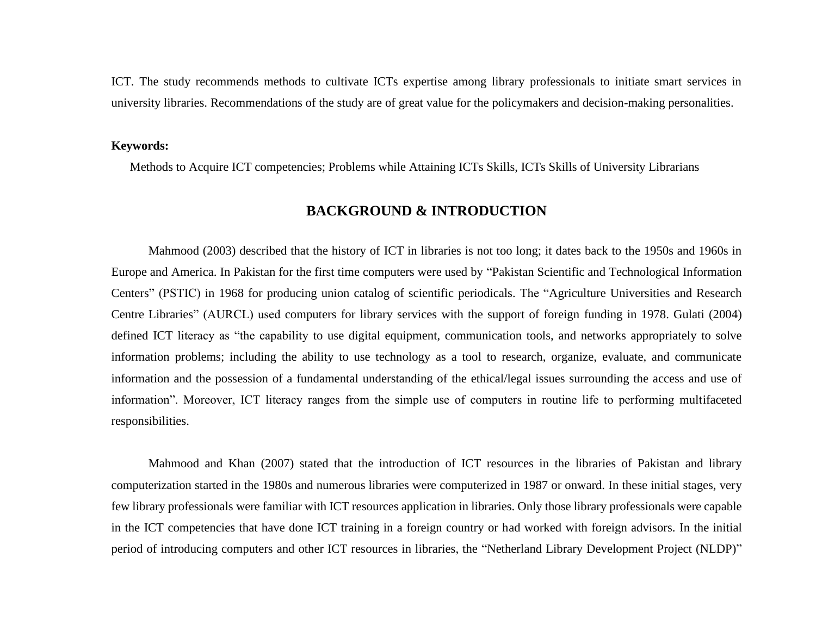ICT. The study recommends methods to cultivate ICTs expertise among library professionals to initiate smart services in university libraries. Recommendations of the study are of great value for the policymakers and decision-making personalities.

#### **Keywords:**

Methods to Acquire ICT competencies; Problems while Attaining ICTs Skills, ICTs Skills of University Librarians

## **BACKGROUND & INTRODUCTION**

Mahmood (2003) described that the history of ICT in libraries is not too long; it dates back to the 1950s and 1960s in Europe and America. In Pakistan for the first time computers were used by "Pakistan Scientific and Technological Information Centers" (PSTIC) in 1968 for producing union catalog of scientific periodicals. The "Agriculture Universities and Research Centre Libraries" (AURCL) used computers for library services with the support of foreign funding in 1978. Gulati (2004) defined ICT literacy as "the capability to use digital equipment, communication tools, and networks appropriately to solve information problems; including the ability to use technology as a tool to research, organize, evaluate, and communicate information and the possession of a fundamental understanding of the ethical/legal issues surrounding the access and use of information". Moreover, ICT literacy ranges from the simple use of computers in routine life to performing multifaceted responsibilities.

Mahmood and Khan (2007) stated that the introduction of ICT resources in the libraries of Pakistan and library computerization started in the 1980s and numerous libraries were computerized in 1987 or onward. In these initial stages, very few library professionals were familiar with ICT resources application in libraries. Only those library professionals were capable in the ICT competencies that have done ICT training in a foreign country or had worked with foreign advisors. In the initial period of introducing computers and other ICT resources in libraries, the "Netherland Library Development Project (NLDP)"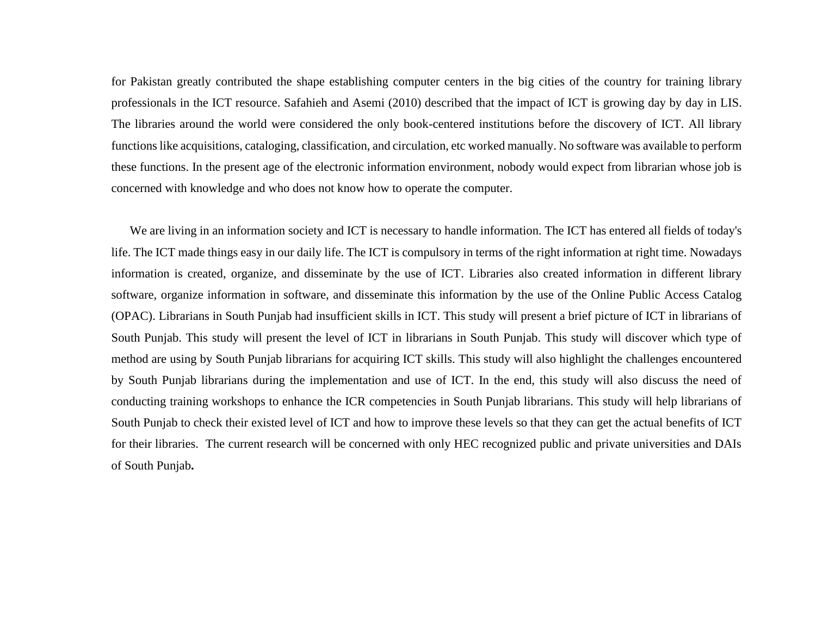for Pakistan greatly contributed the shape establishing computer centers in the big cities of the country for training library professionals in the ICT resource. Safahieh and Asemi (2010) described that the impact of ICT is growing day by day in LIS. The libraries around the world were considered the only book-centered institutions before the discovery of ICT. All library functions like acquisitions, cataloging, classification, and circulation, etc worked manually. No software was available to perform these functions. In the present age of the electronic information environment, nobody would expect from librarian whose job is concerned with knowledge and who does not know how to operate the computer.

We are living in an information society and ICT is necessary to handle information. The ICT has entered all fields of today's life. The ICT made things easy in our daily life. The ICT is compulsory in terms of the right information at right time. Nowadays information is created, organize, and disseminate by the use of ICT. Libraries also created information in different library software, organize information in software, and disseminate this information by the use of the Online Public Access Catalog (OPAC). Librarians in South Punjab had insufficient skills in ICT. This study will present a brief picture of ICT in librarians of South Punjab. This study will present the level of ICT in librarians in South Punjab. This study will discover which type of method are using by South Punjab librarians for acquiring ICT skills. This study will also highlight the challenges encountered by South Punjab librarians during the implementation and use of ICT. In the end, this study will also discuss the need of conducting training workshops to enhance the ICR competencies in South Punjab librarians. This study will help librarians of South Punjab to check their existed level of ICT and how to improve these levels so that they can get the actual benefits of ICT for their libraries. The current research will be concerned with only HEC recognized public and private universities and DAIs of South Punjab**.**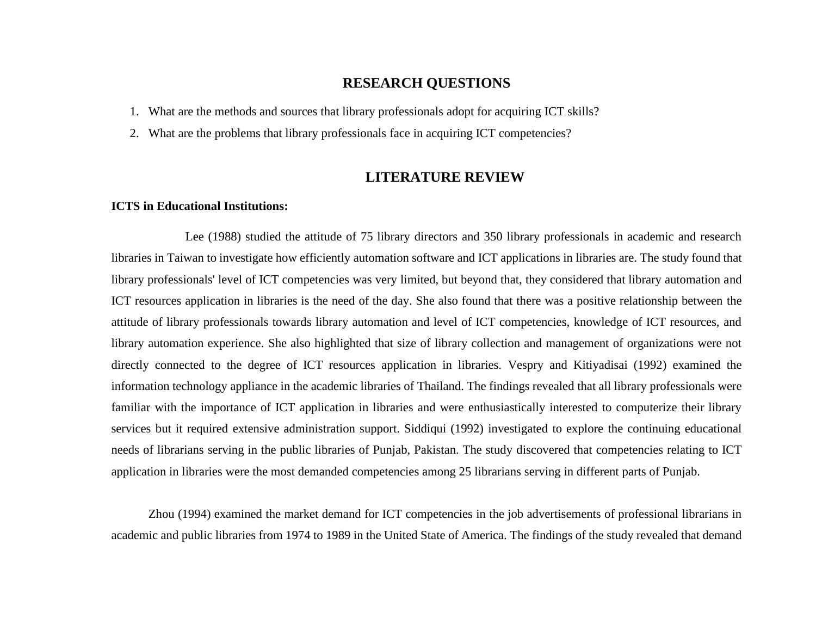## **RESEARCH QUESTIONS**

- 1. What are the methods and sources that library professionals adopt for acquiring ICT skills?
- 2. What are the problems that library professionals face in acquiring ICT competencies?

## **LITERATURE REVIEW**

#### **ICTS in Educational Institutions:**

Lee (1988) studied the attitude of 75 library directors and 350 library professionals in academic and research libraries in Taiwan to investigate how efficiently automation software and ICT applications in libraries are. The study found that library professionals' level of ICT competencies was very limited, but beyond that, they considered that library automation and ICT resources application in libraries is the need of the day. She also found that there was a positive relationship between the attitude of library professionals towards library automation and level of ICT competencies, knowledge of ICT resources, and library automation experience. She also highlighted that size of library collection and management of organizations were not directly connected to the degree of ICT resources application in libraries. Vespry and Kitiyadisai (1992) examined the information technology appliance in the academic libraries of Thailand. The findings revealed that all library professionals were familiar with the importance of ICT application in libraries and were enthusiastically interested to computerize their library services but it required extensive administration support. Siddiqui (1992) investigated to explore the continuing educational needs of librarians serving in the public libraries of Punjab, Pakistan. The study discovered that competencies relating to ICT application in libraries were the most demanded competencies among 25 librarians serving in different parts of Punjab.

Zhou (1994) examined the market demand for ICT competencies in the job advertisements of professional librarians in academic and public libraries from 1974 to 1989 in the United State of America. The findings of the study revealed that demand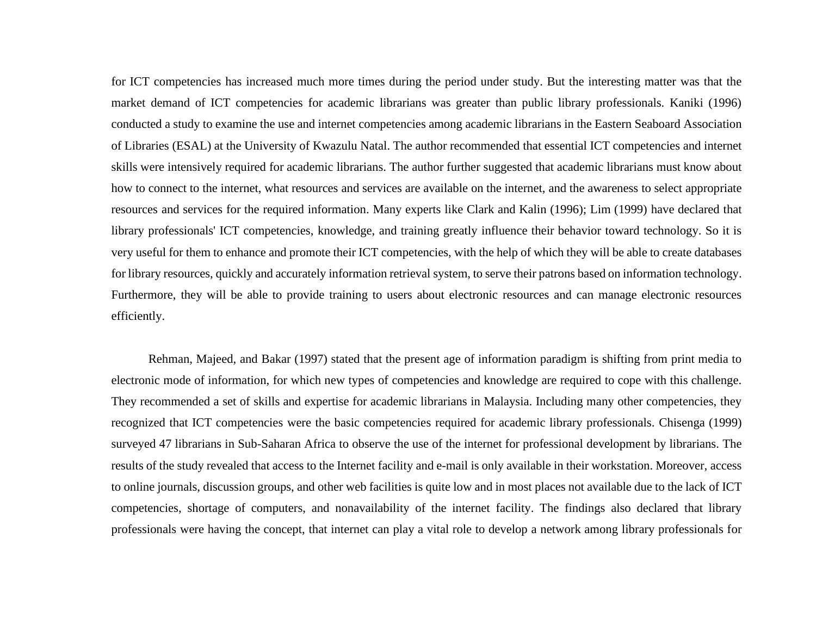for ICT competencies has increased much more times during the period under study. But the interesting matter was that the market demand of ICT competencies for academic librarians was greater than public library professionals. Kaniki (1996) conducted a study to examine the use and internet competencies among academic librarians in the Eastern Seaboard Association of Libraries (ESAL) at the University of Kwazulu Natal. The author recommended that essential ICT competencies and internet skills were intensively required for academic librarians. The author further suggested that academic librarians must know about how to connect to the internet, what resources and services are available on the internet, and the awareness to select appropriate resources and services for the required information. Many experts like Clark and Kalin (1996); Lim (1999) have declared that library professionals' ICT competencies, knowledge, and training greatly influence their behavior toward technology. So it is very useful for them to enhance and promote their ICT competencies, with the help of which they will be able to create databases for library resources, quickly and accurately information retrieval system, to serve their patrons based on information technology. Furthermore, they will be able to provide training to users about electronic resources and can manage electronic resources efficiently.

Rehman, Majeed, and Bakar (1997) stated that the present age of information paradigm is shifting from print media to electronic mode of information, for which new types of competencies and knowledge are required to cope with this challenge. They recommended a set of skills and expertise for academic librarians in Malaysia. Including many other competencies, they recognized that ICT competencies were the basic competencies required for academic library professionals. Chisenga (1999) surveyed 47 librarians in Sub-Saharan Africa to observe the use of the internet for professional development by librarians. The results of the study revealed that access to the Internet facility and e-mail is only available in their workstation. Moreover, access to online journals, discussion groups, and other web facilities is quite low and in most places not available due to the lack of ICT competencies, shortage of computers, and nonavailability of the internet facility. The findings also declared that library professionals were having the concept, that internet can play a vital role to develop a network among library professionals for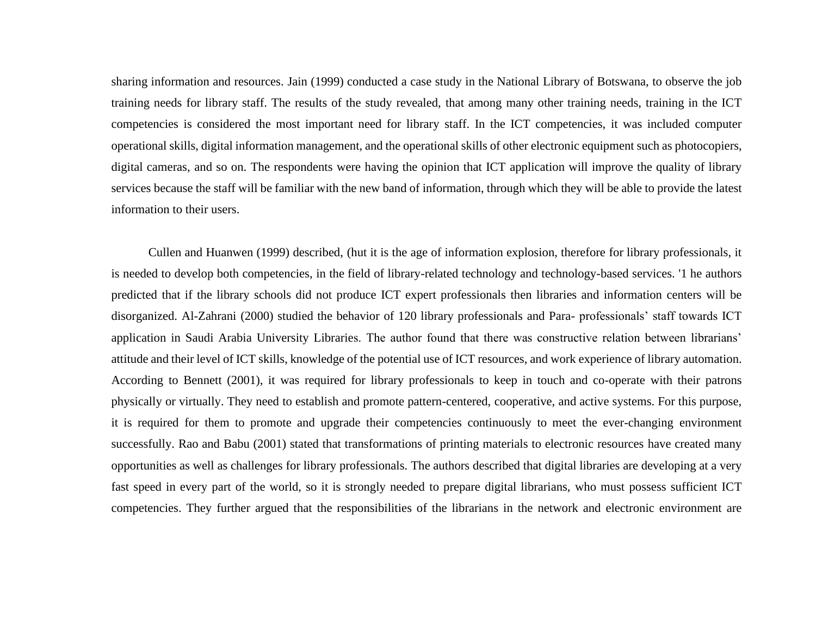sharing information and resources. Jain (1999) conducted a case study in the National Library of Botswana, to observe the job training needs for library staff. The results of the study revealed, that among many other training needs, training in the ICT competencies is considered the most important need for library staff. In the ICT competencies, it was included computer operational skills, digital information management, and the operational skills of other electronic equipment such as photocopiers, digital cameras, and so on. The respondents were having the opinion that ICT application will improve the quality of library services because the staff will be familiar with the new band of information, through which they will be able to provide the latest information to their users.

Cullen and Huanwen (1999) described, (hut it is the age of information explosion, therefore for library professionals, it is needed to develop both competencies, in the field of library-related technology and technology-based services. '1 he authors predicted that if the library schools did not produce ICT expert professionals then libraries and information centers will be disorganized. Al-Zahrani (2000) studied the behavior of 120 library professionals and Para- professionals' staff towards ICT application in Saudi Arabia University Libraries. The author found that there was constructive relation between librarians' attitude and their level of ICT skills, knowledge of the potential use of ICT resources, and work experience of library automation. According to Bennett (2001), it was required for library professionals to keep in touch and co-operate with their patrons physically or virtually. They need to establish and promote pattern-centered, cooperative, and active systems. For this purpose, it is required for them to promote and upgrade their competencies continuously to meet the ever-changing environment successfully. Rao and Babu (2001) stated that transformations of printing materials to electronic resources have created many opportunities as well as challenges for library professionals. The authors described that digital libraries are developing at a very fast speed in every part of the world, so it is strongly needed to prepare digital librarians, who must possess sufficient ICT competencies. They further argued that the responsibilities of the librarians in the network and electronic environment are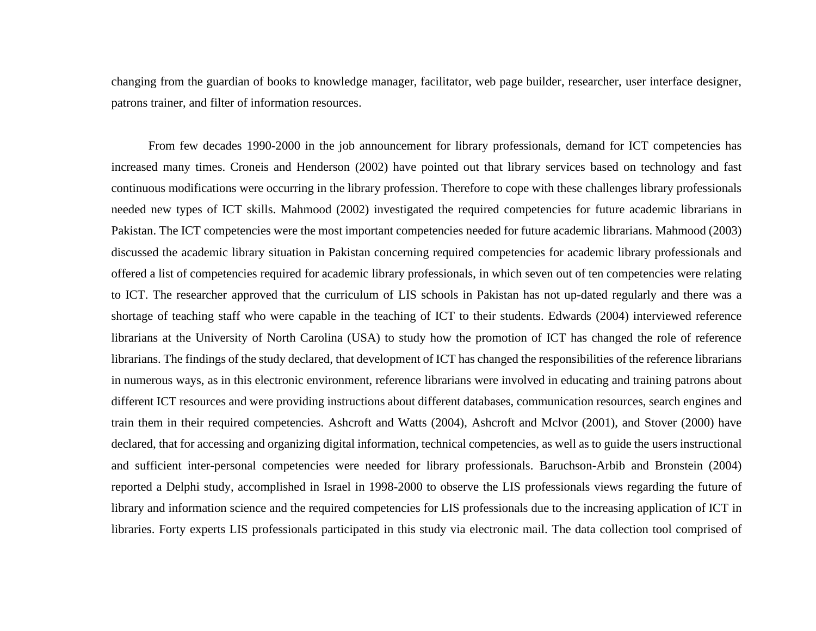changing from the guardian of books to knowledge manager, facilitator, web page builder, researcher, user interface designer, patrons trainer, and filter of information resources.

From few decades 1990-2000 in the job announcement for library professionals, demand for ICT competencies has increased many times. Croneis and Henderson (2002) have pointed out that library services based on technology and fast continuous modifications were occurring in the library profession. Therefore to cope with these challenges library professionals needed new types of ICT skills. Mahmood (2002) investigated the required competencies for future academic librarians in Pakistan. The ICT competencies were the most important competencies needed for future academic librarians. Mahmood (2003) discussed the academic library situation in Pakistan concerning required competencies for academic library professionals and offered a list of competencies required for academic library professionals, in which seven out of ten competencies were relating to ICT. The researcher approved that the curriculum of LIS schools in Pakistan has not up-dated regularly and there was a shortage of teaching staff who were capable in the teaching of ICT to their students. Edwards (2004) interviewed reference librarians at the University of North Carolina (USA) to study how the promotion of ICT has changed the role of reference librarians. The findings of the study declared, that development of ICT has changed the responsibilities of the reference librarians in numerous ways, as in this electronic environment, reference librarians were involved in educating and training patrons about different ICT resources and were providing instructions about different databases, communication resources, search engines and train them in their required competencies. Ashcroft and Watts (2004), Ashcroft and Mclvor (2001), and Stover (2000) have declared, that for accessing and organizing digital information, technical competencies, as well as to guide the users instructional and sufficient inter-personal competencies were needed for library professionals. Baruchson-Arbib and Bronstein (2004) reported a Delphi study, accomplished in Israel in 1998-2000 to observe the LIS professionals views regarding the future of library and information science and the required competencies for LIS professionals due to the increasing application of ICT in libraries. Forty experts LIS professionals participated in this study via electronic mail. The data collection tool comprised of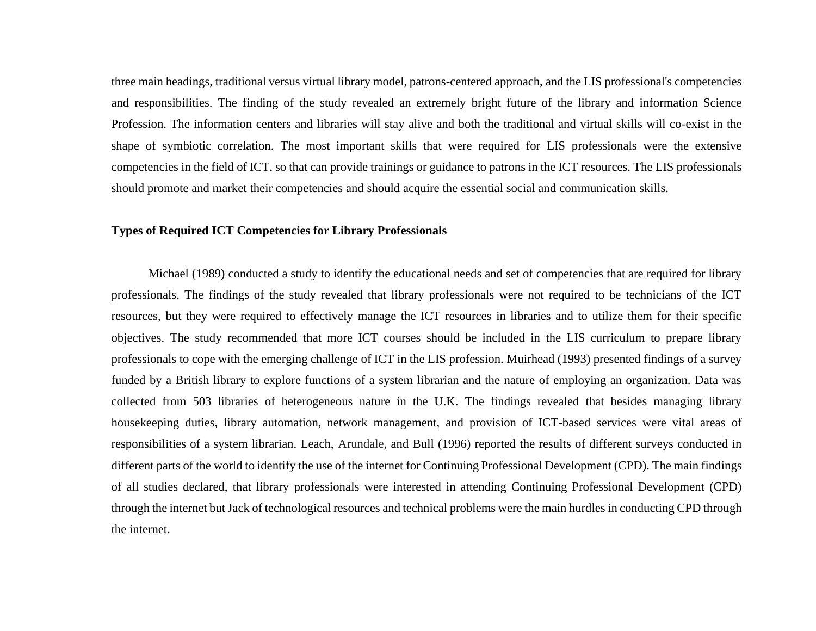three main headings, traditional versus virtual library model, patrons-centered approach, and the LIS professional's competencies and responsibilities. The finding of the study revealed an extremely bright future of the library and information Science Profession. The information centers and libraries will stay alive and both the traditional and virtual skills will co-exist in the shape of symbiotic correlation. The most important skills that were required for LIS professionals were the extensive competencies in the field of ICT, so that can provide trainings or guidance to patrons in the ICT resources. The LIS professionals should promote and market their competencies and should acquire the essential social and communication skills.

#### **Types of Required ICT Competencies for Library Professionals**

Michael (1989) conducted a study to identify the educational needs and set of competencies that are required for library professionals. The findings of the study revealed that library professionals were not required to be technicians of the ICT resources, but they were required to effectively manage the ICT resources in libraries and to utilize them for their specific objectives. The study recommended that more ICT courses should be included in the LIS curriculum to prepare library professionals to cope with the emerging challenge of ICT in the LIS profession. Muirhead (1993) presented findings of a survey funded by a British library to explore functions of a system librarian and the nature of employing an organization. Data was collected from 503 libraries of heterogeneous nature in the U.K. The findings revealed that besides managing library housekeeping duties, library automation, network management, and provision of ICT-based services were vital areas of responsibilities of a system librarian. Leach, Arundale, and Bull (1996) reported the results of different surveys conducted in different parts of the world to identify the use of the internet for Continuing Professional Development (CPD). The main findings of all studies declared, that library professionals were interested in attending Continuing Professional Development (CPD) through the internet but Jack of technological resources and technical problems were the main hurdles in conducting CPD through the internet.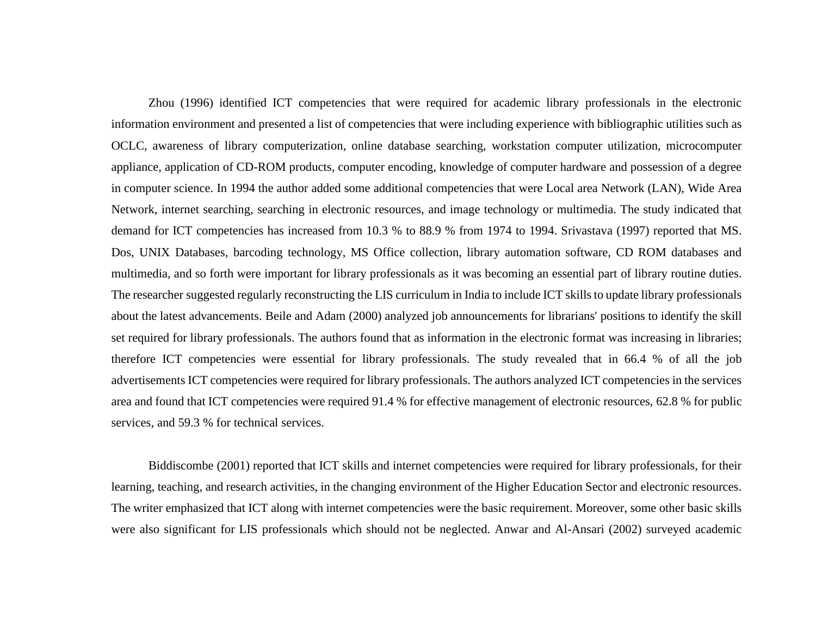Zhou (1996) identified ICT competencies that were required for academic library professionals in the electronic information environment and presented a list of competencies that were including experience with bibliographic utilities such as OCLC, awareness of library computerization, online database searching, workstation computer utilization, microcomputer appliance, application of CD-ROM products, computer encoding, knowledge of computer hardware and possession of a degree in computer science. In 1994 the author added some additional competencies that were Local area Network (LAN), Wide Area Network, internet searching, searching in electronic resources, and image technology or multimedia. The study indicated that demand for ICT competencies has increased from 10.3 % to 88.9 % from 1974 to 1994. Srivastava (1997) reported that MS. Dos, UNIX Databases, barcoding technology, MS Office collection, library automation software, CD ROM databases and multimedia, and so forth were important for library professionals as it was becoming an essential part of library routine duties. The researcher suggested regularly reconstructing the LIS curriculum in India to include ICT skills to update library professionals about the latest advancements. Beile and Adam (2000) analyzed job announcements for librarians' positions to identify the skill set required for library professionals. The authors found that as information in the electronic format was increasing in libraries; therefore ICT competencies were essential for library professionals. The study revealed that in 66.4 % of all the job advertisements ICT competencies were required for library professionals. The authors analyzed ICT competencies in the services area and found that ICT competencies were required 91.4 % for effective management of electronic resources, 62.8 % for public services, and 59.3 % for technical services.

Biddiscombe (2001) reported that ICT skills and internet competencies were required for library professionals, for their learning, teaching, and research activities, in the changing environment of the Higher Education Sector and electronic resources. The writer emphasized that ICT along with internet competencies were the basic requirement. Moreover, some other basic skills were also significant for LIS professionals which should not be neglected. Anwar and Al-Ansari (2002) surveyed academic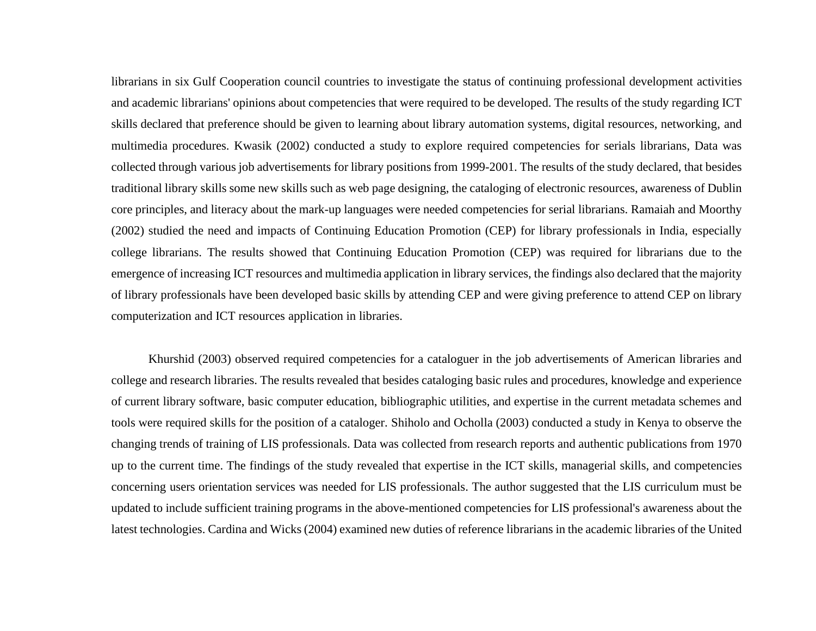librarians in six Gulf Cooperation council countries to investigate the status of continuing professional development activities and academic librarians' opinions about competencies that were required to be developed. The results of the study regarding ICT skills declared that preference should be given to learning about library automation systems, digital resources, networking, and multimedia procedures. Kwasik (2002) conducted a study to explore required competencies for serials librarians, Data was collected through various job advertisements for library positions from 1999-2001. The results of the study declared, that besides traditional library skills some new skills such as web page designing, the cataloging of electronic resources, awareness of Dublin core principles, and literacy about the mark-up languages were needed competencies for serial librarians. Ramaiah and Moorthy (2002) studied the need and impacts of Continuing Education Promotion (CEP) for library professionals in India, especially college librarians. The results showed that Continuing Education Promotion (CEP) was required for librarians due to the emergence of increasing ICT resources and multimedia application in library services, the findings also declared that the majority of library professionals have been developed basic skills by attending CEP and were giving preference to attend CEP on library computerization and ICT resources application in libraries.

Khurshid (2003) observed required competencies for a cataloguer in the job advertisements of American libraries and college and research libraries. The results revealed that besides cataloging basic rules and procedures, knowledge and experience of current library software, basic computer education, bibliographic utilities, and expertise in the current metadata schemes and tools were required skills for the position of a cataloger. Shiholo and Ocholla (2003) conducted a study in Kenya to observe the changing trends of training of LIS professionals. Data was collected from research reports and authentic publications from 1970 up to the current time. The findings of the study revealed that expertise in the ICT skills, managerial skills, and competencies concerning users orientation services was needed for LIS professionals. The author suggested that the LIS curriculum must be updated to include sufficient training programs in the above-mentioned competencies for LIS professional's awareness about the latest technologies. Cardina and Wicks (2004) examined new duties of reference librarians in the academic libraries of the United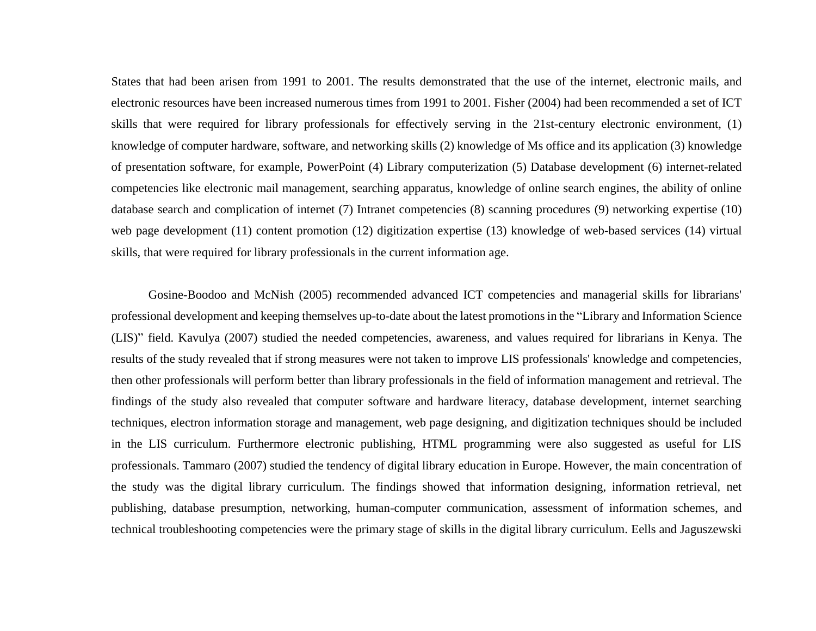States that had been arisen from 1991 to 2001. The results demonstrated that the use of the internet, electronic mails, and electronic resources have been increased numerous times from 1991 to 2001. Fisher (2004) had been recommended a set of ICT skills that were required for library professionals for effectively serving in the 21st-century electronic environment, (1) knowledge of computer hardware, software, and networking skills (2) knowledge of Ms office and its application (3) knowledge of presentation software, for example, PowerPoint (4) Library computerization (5) Database development (6) internet-related competencies like electronic mail management, searching apparatus, knowledge of online search engines, the ability of online database search and complication of internet (7) Intranet competencies (8) scanning procedures (9) networking expertise (10) web page development (11) content promotion (12) digitization expertise (13) knowledge of web-based services (14) virtual skills, that were required for library professionals in the current information age.

Gosine-Boodoo and McNish (2005) recommended advanced ICT competencies and managerial skills for librarians' professional development and keeping themselves up-to-date about the latest promotions in the "Library and Information Science (LIS)" field. Kavulya (2007) studied the needed competencies, awareness, and values required for librarians in Kenya. The results of the study revealed that if strong measures were not taken to improve LIS professionals' knowledge and competencies, then other professionals will perform better than library professionals in the field of information management and retrieval. The findings of the study also revealed that computer software and hardware literacy, database development, internet searching techniques, electron information storage and management, web page designing, and digitization techniques should be included in the LIS curriculum. Furthermore electronic publishing, HTML programming were also suggested as useful for LIS professionals. Tammaro (2007) studied the tendency of digital library education in Europe. However, the main concentration of the study was the digital library curriculum. The findings showed that information designing, information retrieval, net publishing, database presumption, networking, human-computer communication, assessment of information schemes, and technical troubleshooting competencies were the primary stage of skills in the digital library curriculum. Eells and Jaguszewski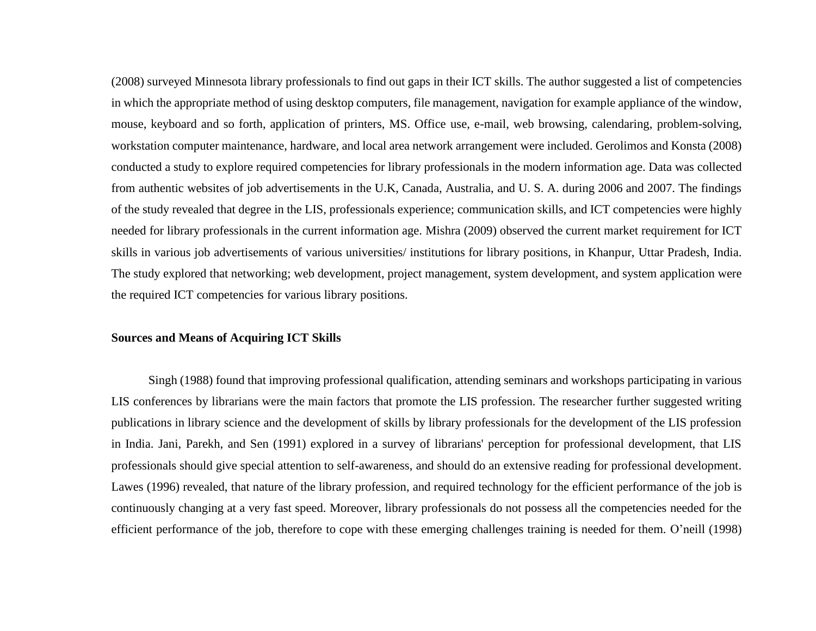(2008) surveyed Minnesota library professionals to find out gaps in their ICT skills. The author suggested a list of competencies in which the appropriate method of using desktop computers, file management, navigation for example appliance of the window, mouse, keyboard and so forth, application of printers, MS. Office use, e-mail, web browsing, calendaring, problem-solving, workstation computer maintenance, hardware, and local area network arrangement were included. Gerolimos and Konsta (2008) conducted a study to explore required competencies for library professionals in the modern information age. Data was collected from authentic websites of job advertisements in the U.K, Canada, Australia, and U. S. A. during 2006 and 2007. The findings of the study revealed that degree in the LIS, professionals experience; communication skills, and ICT competencies were highly needed for library professionals in the current information age. Mishra (2009) observed the current market requirement for ICT skills in various job advertisements of various universities/ institutions for library positions, in Khanpur, Uttar Pradesh, India. The study explored that networking; web development, project management, system development, and system application were the required ICT competencies for various library positions.

#### **Sources and Means of Acquiring ICT Skills**

Singh (1988) found that improving professional qualification, attending seminars and workshops participating in various LIS conferences by librarians were the main factors that promote the LIS profession. The researcher further suggested writing publications in library science and the development of skills by library professionals for the development of the LIS profession in India. Jani, Parekh, and Sen (1991) explored in a survey of librarians' perception for professional development, that LIS professionals should give special attention to self-awareness, and should do an extensive reading for professional development. Lawes (1996) revealed, that nature of the library profession, and required technology for the efficient performance of the job is continuously changing at a very fast speed. Moreover, library professionals do not possess all the competencies needed for the efficient performance of the job, therefore to cope with these emerging challenges training is needed for them. O'neill (1998)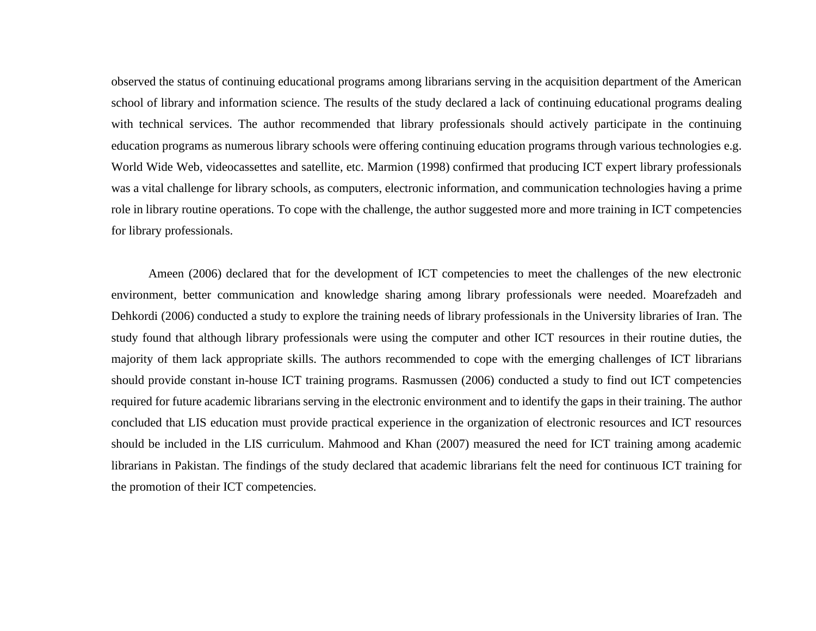observed the status of continuing educational programs among librarians serving in the acquisition department of the American school of library and information science. The results of the study declared a lack of continuing educational programs dealing with technical services. The author recommended that library professionals should actively participate in the continuing education programs as numerous library schools were offering continuing education programs through various technologies e.g. World Wide Web, videocassettes and satellite, etc. Marmion (1998) confirmed that producing ICT expert library professionals was a vital challenge for library schools, as computers, electronic information, and communication technologies having a prime role in library routine operations. To cope with the challenge, the author suggested more and more training in ICT competencies for library professionals.

Ameen (2006) declared that for the development of ICT competencies to meet the challenges of the new electronic environment, better communication and knowledge sharing among library professionals were needed. Moarefzadeh and Dehkordi (2006) conducted a study to explore the training needs of library professionals in the University libraries of Iran. The study found that although library professionals were using the computer and other ICT resources in their routine duties, the majority of them lack appropriate skills. The authors recommended to cope with the emerging challenges of ICT librarians should provide constant in-house ICT training programs. Rasmussen (2006) conducted a study to find out ICT competencies required for future academic librarians serving in the electronic environment and to identify the gaps in their training. The author concluded that LIS education must provide practical experience in the organization of electronic resources and ICT resources should be included in the LIS curriculum. Mahmood and Khan (2007) measured the need for ICT training among academic librarians in Pakistan. The findings of the study declared that academic librarians felt the need for continuous ICT training for the promotion of their ICT competencies.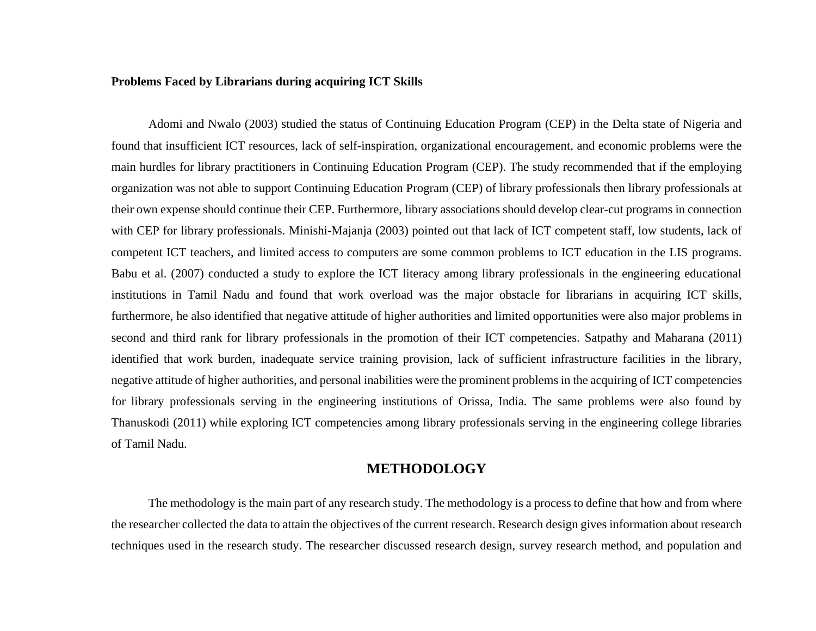#### **Problems Faced by Librarians during acquiring ICT Skills**

Adomi and Nwalo (2003) studied the status of Continuing Education Program (CEP) in the Delta state of Nigeria and found that insufficient ICT resources, lack of self-inspiration, organizational encouragement, and economic problems were the main hurdles for library practitioners in Continuing Education Program (CEP). The study recommended that if the employing organization was not able to support Continuing Education Program (CEP) of library professionals then library professionals at their own expense should continue their CEP. Furthermore, library associations should develop clear-cut programs in connection with CEP for library professionals. Minishi-Majanja (2003) pointed out that lack of ICT competent staff, low students, lack of competent ICT teachers, and limited access to computers are some common problems to ICT education in the LIS programs. Babu et al. (2007) conducted a study to explore the ICT literacy among library professionals in the engineering educational institutions in Tamil Nadu and found that work overload was the major obstacle for librarians in acquiring ICT skills, furthermore, he also identified that negative attitude of higher authorities and limited opportunities were also major problems in second and third rank for library professionals in the promotion of their ICT competencies. Satpathy and Maharana (2011) identified that work burden, inadequate service training provision, lack of sufficient infrastructure facilities in the library, negative attitude of higher authorities, and personal inabilities were the prominent problems in the acquiring of ICT competencies for library professionals serving in the engineering institutions of Orissa, India. The same problems were also found by Thanuskodi (2011) while exploring ICT competencies among library professionals serving in the engineering college libraries of Tamil Nadu.

## **METHODOLOGY**

The methodology is the main part of any research study. The methodology is a process to define that how and from where the researcher collected the data to attain the objectives of the current research. Research design gives information about research techniques used in the research study. The researcher discussed research design, survey research method, and population and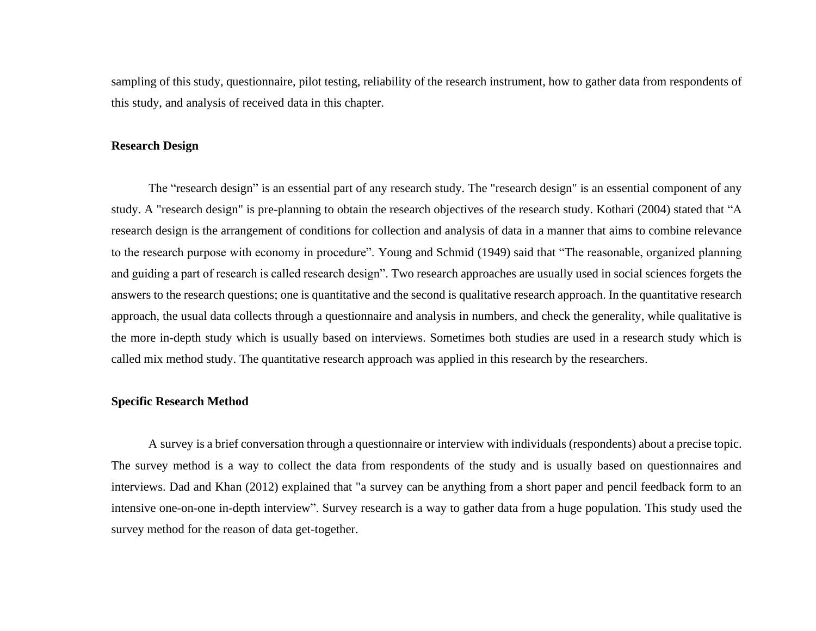sampling of this study, questionnaire, pilot testing, reliability of the research instrument, how to gather data from respondents of this study, and analysis of received data in this chapter.

#### **Research Design**

The "research design" is an essential part of any research study. The "research design" is an essential component of any study. A "research design" is pre-planning to obtain the research objectives of the research study. Kothari (2004) stated that "A research design is the arrangement of conditions for collection and analysis of data in a manner that aims to combine relevance to the research purpose with economy in procedure". Young and Schmid (1949) said that "The reasonable, organized planning and guiding a part of research is called research design". Two research approaches are usually used in social sciences forgets the answers to the research questions; one is quantitative and the second is qualitative research approach. In the quantitative research approach, the usual data collects through a questionnaire and analysis in numbers, and check the generality, while qualitative is the more in-depth study which is usually based on interviews. Sometimes both studies are used in a research study which is called mix method study. The quantitative research approach was applied in this research by the researchers.

#### **Specific Research Method**

A survey is a brief conversation through a questionnaire or interview with individuals (respondents) about a precise topic. The survey method is a way to collect the data from respondents of the study and is usually based on questionnaires and interviews. Dad and Khan (2012) explained that "a survey can be anything from a short paper and pencil feedback form to an intensive one-on-one in-depth interview". Survey research is a way to gather data from a huge population. This study used the survey method for the reason of data get-together.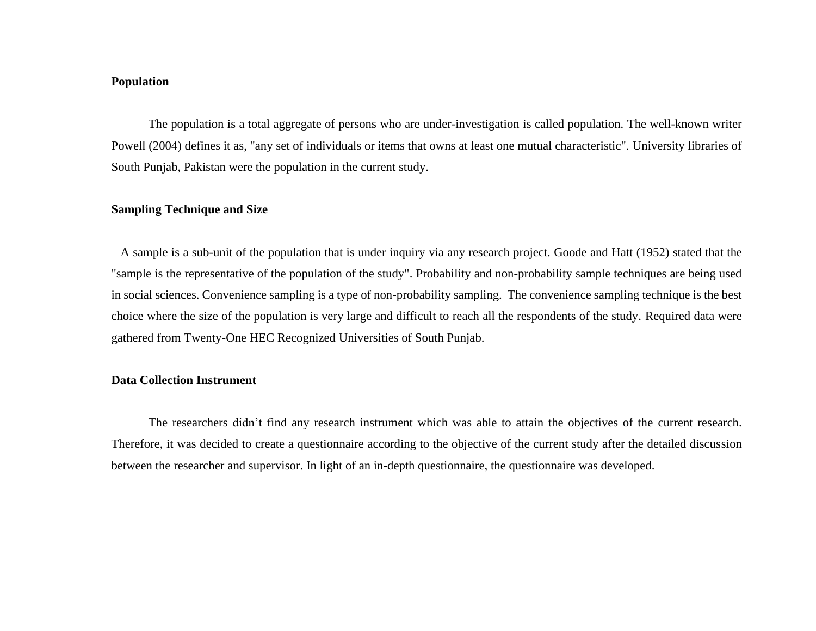#### **Population**

The population is a total aggregate of persons who are under-investigation is called population. The well-known writer Powell (2004) defines it as, "any set of individuals or items that owns at least one mutual characteristic". University libraries of South Punjab, Pakistan were the population in the current study.

#### **Sampling Technique and Size**

A sample is a sub-unit of the population that is under inquiry via any research project. Goode and Hatt (1952) stated that the "sample is the representative of the population of the study". Probability and non-probability sample techniques are being used in social sciences. Convenience sampling is a type of non-probability sampling. The convenience sampling technique is the best choice where the size of the population is very large and difficult to reach all the respondents of the study. Required data were gathered from Twenty-One HEC Recognized Universities of South Punjab.

#### **Data Collection Instrument**

The researchers didn't find any research instrument which was able to attain the objectives of the current research. Therefore, it was decided to create a questionnaire according to the objective of the current study after the detailed discussion between the researcher and supervisor. In light of an in-depth questionnaire, the questionnaire was developed.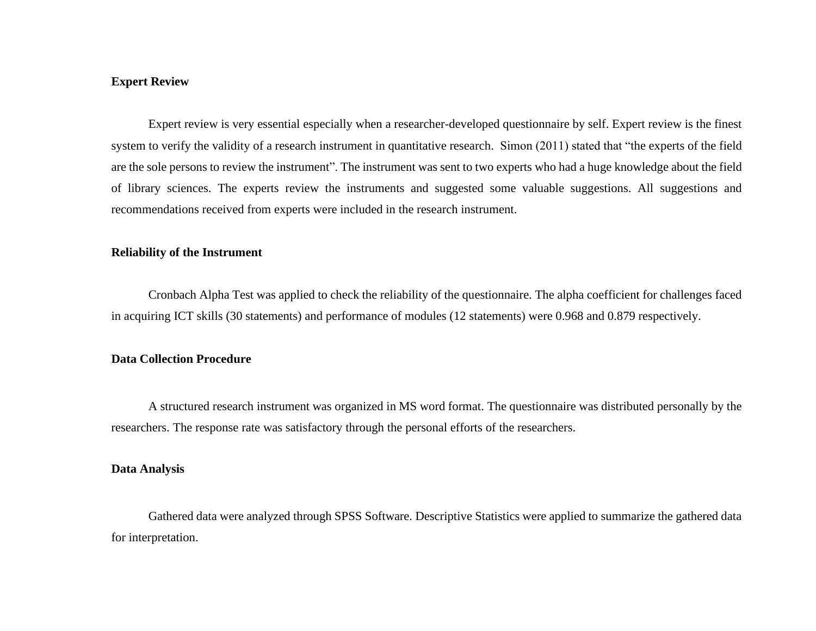#### **Expert Review**

Expert review is very essential especially when a researcher-developed questionnaire by self. Expert review is the finest system to verify the validity of a research instrument in quantitative research. Simon (2011) stated that "the experts of the field are the sole persons to review the instrument". The instrument was sent to two experts who had a huge knowledge about the field of library sciences. The experts review the instruments and suggested some valuable suggestions. All suggestions and recommendations received from experts were included in the research instrument.

#### **Reliability of the Instrument**

Cronbach Alpha Test was applied to check the reliability of the questionnaire. The alpha coefficient for challenges faced in acquiring ICT skills (30 statements) and performance of modules (12 statements) were 0.968 and 0.879 respectively.

### **Data Collection Procedure**

A structured research instrument was organized in MS word format. The questionnaire was distributed personally by the researchers. The response rate was satisfactory through the personal efforts of the researchers.

#### **Data Analysis**

Gathered data were analyzed through SPSS Software. Descriptive Statistics were applied to summarize the gathered data for interpretation.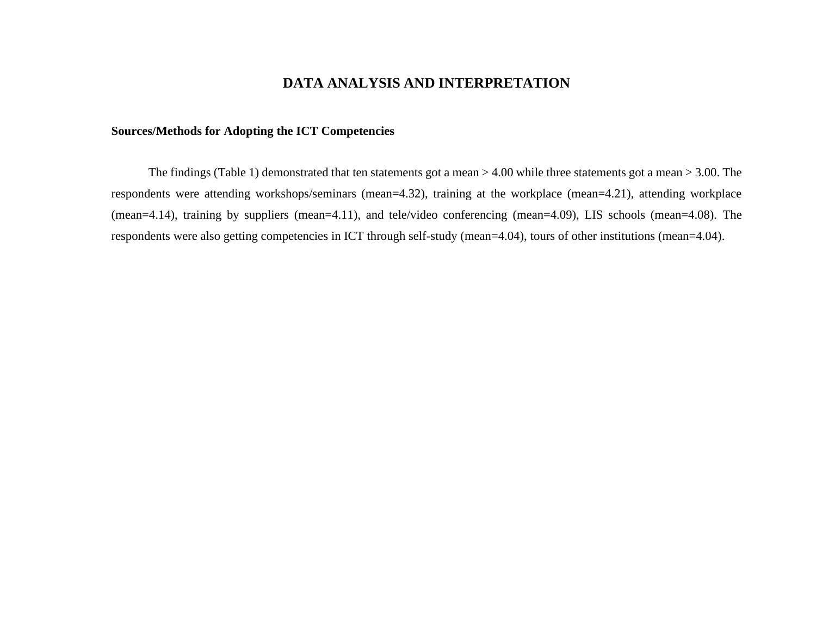## **DATA ANALYSIS AND INTERPRETATION**

#### **Sources/Methods for Adopting the ICT Competencies**

The findings (Table 1) demonstrated that ten statements got a mean > 4.00 while three statements got a mean > 3.00. The respondents were attending workshops/seminars (mean=4.32), training at the workplace (mean=4.21), attending workplace (mean=4.14), training by suppliers (mean=4.11), and tele/video conferencing (mean=4.09), LIS schools (mean=4.08). The respondents were also getting competencies in ICT through self-study (mean=4.04), tours of other institutions (mean=4.04).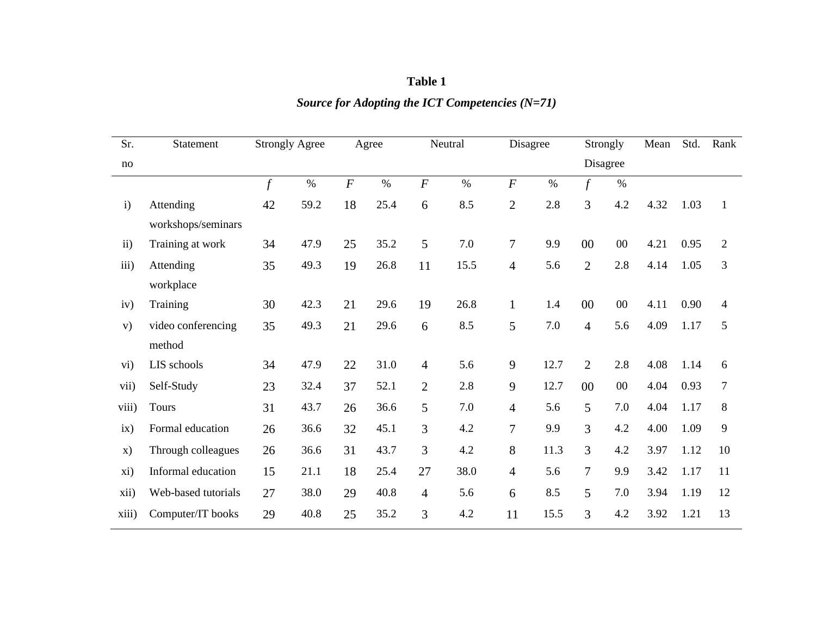| Table 1                                           |
|---------------------------------------------------|
| Source for Adopting the ICT Competencies $(N=71)$ |

| Sr.                    | Statement                       |        | <b>Strongly Agree</b> |                  | Agree |                | Neutral |                | Disagree |                | Strongly | Mean | Std. | Rank           |
|------------------------|---------------------------------|--------|-----------------------|------------------|-------|----------------|---------|----------------|----------|----------------|----------|------|------|----------------|
| no                     |                                 |        |                       |                  |       |                |         |                |          |                | Disagree |      |      |                |
|                        |                                 | $\int$ | $\%$                  | $\boldsymbol{F}$ | $\%$  | $\overline{F}$ | $\%$    | $\overline{F}$ | $\%$     | $\int$         | $\%$     |      |      |                |
| $\mathbf{i}$           | Attending<br>workshops/seminars | 42     | 59.2                  | 18               | 25.4  | 6              | 8.5     | $\overline{2}$ | 2.8      | 3              | 4.2      | 4.32 | 1.03 | $\mathbf{1}$   |
| $\overline{ii}$ )      | Training at work                | 34     | 47.9                  | 25               | 35.2  | 5              | 7.0     | $\overline{7}$ | 9.9      | $00\,$         | $00\,$   | 4.21 | 0.95 | $\overline{2}$ |
| iii)                   | Attending<br>workplace          | 35     | 49.3                  | 19               | 26.8  | 11             | 15.5    | $\overline{4}$ | 5.6      | $\overline{2}$ | 2.8      | 4.14 | 1.05 | $\overline{3}$ |
| iv)                    | Training                        | 30     | 42.3                  | 21               | 29.6  | 19             | 26.8    | $\mathbf{1}$   | 1.4      | $00\,$         | $00\,$   | 4.11 | 0.90 | 4              |
| V)                     | video conferencing<br>method    | 35     | 49.3                  | 21               | 29.6  | 6              | 8.5     | 5              | 7.0      | $\overline{4}$ | 5.6      | 4.09 | 1.17 | 5              |
| $\overline{\text{vi}}$ | LIS schools                     | 34     | 47.9                  | 22               | 31.0  | $\overline{4}$ | 5.6     | 9              | 12.7     | $\overline{2}$ | 2.8      | 4.08 | 1.14 | 6              |
| vii)                   | Self-Study                      | 23     | 32.4                  | 37               | 52.1  | $\overline{2}$ | 2.8     | 9              | 12.7     | $00\,$         | $00\,$   | 4.04 | 0.93 | $\overline{7}$ |
| viii)                  | <b>Tours</b>                    | 31     | 43.7                  | 26               | 36.6  | 5              | 7.0     | $\overline{4}$ | 5.6      | 5              | 7.0      | 4.04 | 1.17 | 8              |
| ix)                    | Formal education                | 26     | 36.6                  | 32               | 45.1  | 3              | 4.2     | $\overline{7}$ | 9.9      | 3              | 4.2      | 4.00 | 1.09 | 9              |
| $\mathbf{x})$          | Through colleagues              | 26     | 36.6                  | 31               | 43.7  | 3              | 4.2     | 8              | 11.3     | 3              | 4.2      | 3.97 | 1.12 | 10             |
| xi)                    | Informal education              | 15     | 21.1                  | 18               | 25.4  | 27             | 38.0    | $\overline{4}$ | 5.6      | 7              | 9.9      | 3.42 | 1.17 | 11             |
| xii)                   | Web-based tutorials             | 27     | 38.0                  | 29               | 40.8  | $\overline{4}$ | 5.6     | 6              | 8.5      | 5              | 7.0      | 3.94 | 1.19 | 12             |
| xiii)                  | Computer/IT books               | 29     | 40.8                  | 25               | 35.2  | $\overline{3}$ | 4.2     | 11             | 15.5     | 3              | 4.2      | 3.92 | 1.21 | 13             |
|                        |                                 |        |                       |                  |       |                |         |                |          |                |          |      |      |                |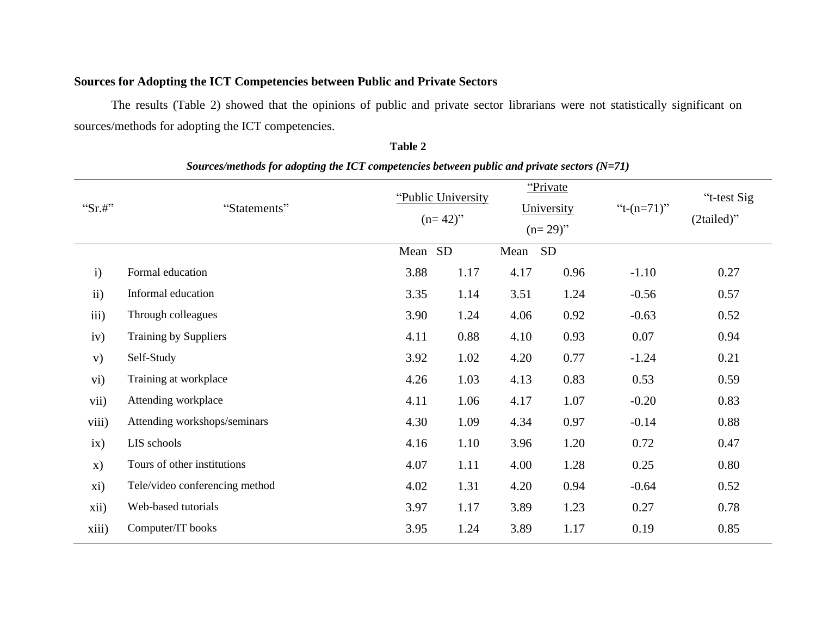## **Sources for Adopting the ICT Competencies between Public and Private Sectors**

The results (Table 2) showed that the opinions of public and private sector librarians were not statistically significant on sources/methods for adopting the ICT competencies.

| " $Sr.#$ "    | "Statements"                   |      | "Public University"<br>$(n=42)$ " |      | "Private"<br>University<br>$(n=29)$ " | " $t-(n=71)$ " | "t-test Sig<br>(2tailed)" |
|---------------|--------------------------------|------|-----------------------------------|------|---------------------------------------|----------------|---------------------------|
|               |                                | Mean | <b>SD</b>                         | Mean | SD                                    |                |                           |
| $\mathbf{i}$  | Formal education               | 3.88 | 1.17                              | 4.17 | 0.96                                  | $-1.10$        | 0.27                      |
| $\mathbf{ii}$ | Informal education             | 3.35 | 1.14                              | 3.51 | 1.24                                  | $-0.56$        | 0.57                      |
| iii)          | Through colleagues             | 3.90 | 1.24                              | 4.06 | 0.92                                  | $-0.63$        | 0.52                      |
| iv)           | Training by Suppliers          | 4.11 | 0.88                              | 4.10 | 0.93                                  | 0.07           | 0.94                      |
| V)            | Self-Study                     | 3.92 | 1.02                              | 4.20 | 0.77                                  | $-1.24$        | 0.21                      |
| vi)           | Training at workplace          | 4.26 | 1.03                              | 4.13 | 0.83                                  | 0.53           | 0.59                      |
| vii)          | Attending workplace            | 4.11 | 1.06                              | 4.17 | 1.07                                  | $-0.20$        | 0.83                      |
| viii)         | Attending workshops/seminars   | 4.30 | 1.09                              | 4.34 | 0.97                                  | $-0.14$        | 0.88                      |
| ix)           | LIS schools                    | 4.16 | 1.10                              | 3.96 | 1.20                                  | 0.72           | 0.47                      |
| X)            | Tours of other institutions    | 4.07 | 1.11                              | 4.00 | 1.28                                  | 0.25           | 0.80                      |
| xi)           | Tele/video conferencing method | 4.02 | 1.31                              | 4.20 | 0.94                                  | $-0.64$        | 0.52                      |
| xii)          | Web-based tutorials            | 3.97 | 1.17                              | 3.89 | 1.23                                  | 0.27           | 0.78                      |
| xiii)         | Computer/IT books              | 3.95 | 1.24                              | 3.89 | 1.17                                  | 0.19           | 0.85                      |

*Sources/methods for adopting the ICT competencies between public and private sectors (N=71)*

**Table 2**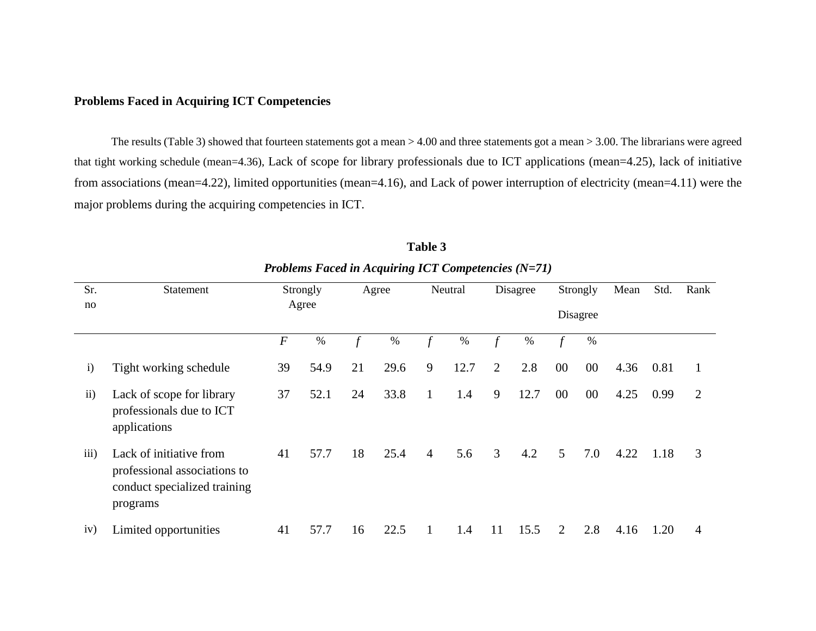#### **Problems Faced in Acquiring ICT Competencies**

The results (Table 3) showed that fourteen statements got a mean > 4.00 and three statements got a mean > 3.00. The librarians were agreed that tight working schedule (mean=4.36), Lack of scope for library professionals due to ICT applications (mean=4.25), lack of initiative from associations (mean=4.22), limited opportunities (mean=4.16), and Lack of power interruption of electricity (mean=4.11) were the major problems during the acquiring competencies in ICT.

| Sr.           | Statement                                                                                           |                  | Strongly |    | Agree |                | Neutral |                | Disagree |        | Strongly | Mean | Std. | Rank         |
|---------------|-----------------------------------------------------------------------------------------------------|------------------|----------|----|-------|----------------|---------|----------------|----------|--------|----------|------|------|--------------|
| no            |                                                                                                     |                  | Agree    |    |       |                |         |                |          |        | Disagree |      |      |              |
|               |                                                                                                     | $\boldsymbol{F}$ | $\%$     |    | $\%$  | $\mathbf{f}$   | %       |                | $\%$     | f      | $\%$     |      |      |              |
| $\mathbf{i}$  | Tight working schedule                                                                              | 39               | 54.9     | 21 | 29.6  | 9              | 12.7    | $\overline{2}$ | 2.8      | $00\,$ | $00\,$   | 4.36 | 0.81 | $\mathbf{1}$ |
| $\mathbf{ii}$ | Lack of scope for library<br>professionals due to ICT<br>applications                               | 37               | 52.1     | 24 | 33.8  | 1              | 1.4     | 9              | 12.7     | $00\,$ | $00\,$   | 4.25 | 0.99 | 2            |
| iii)          | Lack of initiative from<br>professional associations to<br>conduct specialized training<br>programs | 41               | 57.7     | 18 | 25.4  | $\overline{4}$ | 5.6     | 3              | 4.2      | 5      | 7.0      | 4.22 | 1.18 | 3            |
| iv)           | Limited opportunities                                                                               | 41               | 57.7     | 16 | 22.5  |                | 1.4     | 11             | 15.5     | 2      | 2.8      | 4.16 | 1.20 | 4            |

**Table 3** *Problems Faced in Acquiring ICT Competencies (N=71)*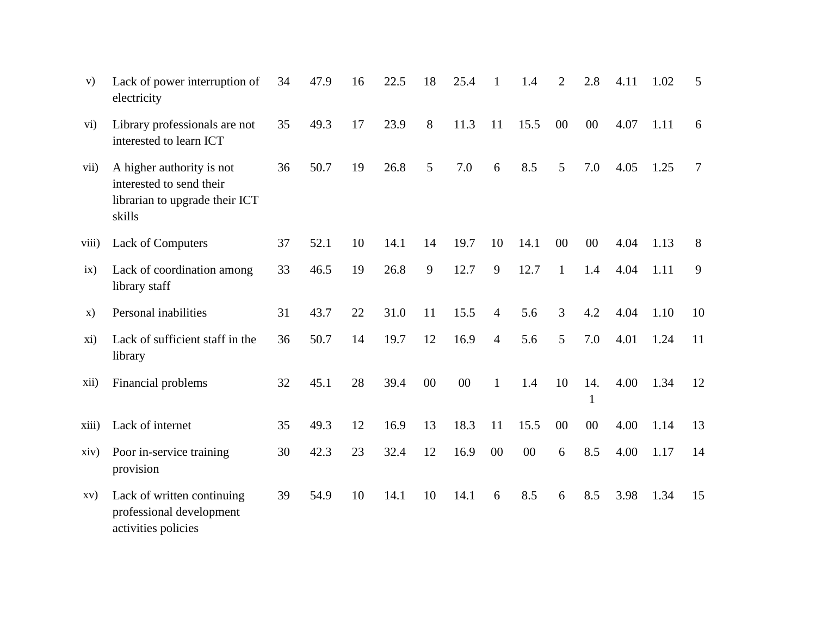| V)    | Lack of power interruption of<br>electricity                                                      | 34 | 47.9 | 16 | 22.5 | 18 | 25.4   | $\mathbf{1}$   | 1.4  | $\overline{2}$ | 2.8      | 4.11 | 1.02 | 5  |
|-------|---------------------------------------------------------------------------------------------------|----|------|----|------|----|--------|----------------|------|----------------|----------|------|------|----|
| vi)   | Library professionals are not<br>interested to learn ICT                                          | 35 | 49.3 | 17 | 23.9 | 8  | 11.3   | 11             | 15.5 | $00\,$         | 00       | 4.07 | 1.11 | 6  |
| vii)  | A higher authority is not<br>interested to send their<br>librarian to upgrade their ICT<br>skills | 36 | 50.7 | 19 | 26.8 | 5  | 7.0    | 6              | 8.5  | 5              | 7.0      | 4.05 | 1.25 | 7  |
| viii) | <b>Lack of Computers</b>                                                                          | 37 | 52.1 | 10 | 14.1 | 14 | 19.7   | 10             | 14.1 | $00\,$         | 00       | 4.04 | 1.13 | 8  |
| ix)   | Lack of coordination among<br>library staff                                                       | 33 | 46.5 | 19 | 26.8 | 9  | 12.7   | 9              | 12.7 | $\mathbf{1}$   | 1.4      | 4.04 | 1.11 | 9  |
| X)    | Personal inabilities                                                                              | 31 | 43.7 | 22 | 31.0 | 11 | 15.5   | 4              | 5.6  | 3              | 4.2      | 4.04 | 1.10 | 10 |
| xi)   | Lack of sufficient staff in the<br>library                                                        | 36 | 50.7 | 14 | 19.7 | 12 | 16.9   | $\overline{4}$ | 5.6  | 5              | 7.0      | 4.01 | 1.24 | 11 |
| xii)  | Financial problems                                                                                | 32 | 45.1 | 28 | 39.4 | 00 | $00\,$ | $\mathbf{1}$   | 1.4  | 10             | 14.<br>1 | 4.00 | 1.34 | 12 |
| xiii) | Lack of internet                                                                                  | 35 | 49.3 | 12 | 16.9 | 13 | 18.3   | 11             | 15.5 | $00\,$         | 00       | 4.00 | 1.14 | 13 |
| xiv)  | Poor in-service training<br>provision                                                             | 30 | 42.3 | 23 | 32.4 | 12 | 16.9   | 00             | 00   | 6              | 8.5      | 4.00 | 1.17 | 14 |
| XV)   | Lack of written continuing<br>professional development<br>activities policies                     | 39 | 54.9 | 10 | 14.1 | 10 | 14.1   | 6              | 8.5  | 6              | 8.5      | 3.98 | 1.34 | 15 |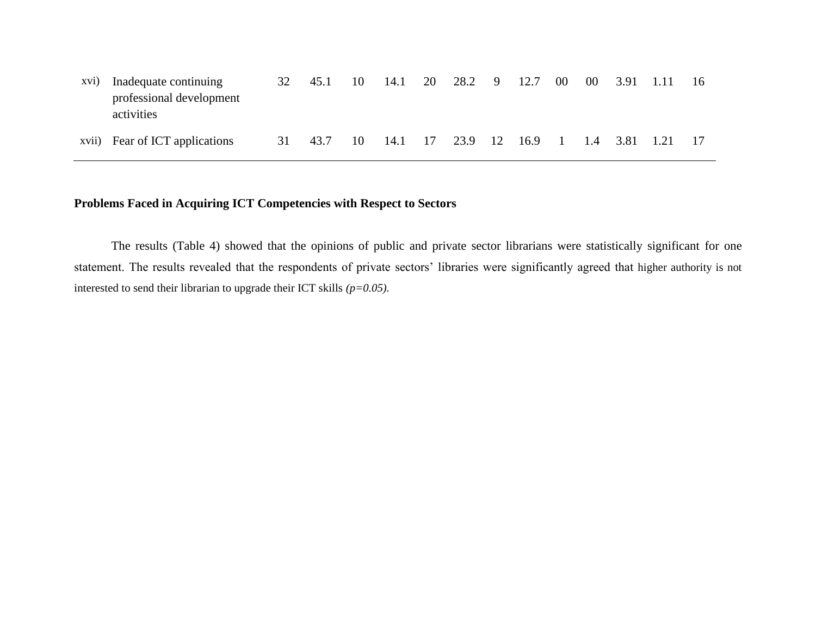| xvi) | Inadequate continuing<br>professional development<br>activities | 32 | 45.1 | 10 | 14.1 | 20 | 28.2 9       | 12.7 | $00\,$          | 00 3.91 1.11  | -16 |
|------|-----------------------------------------------------------------|----|------|----|------|----|--------------|------|-----------------|---------------|-----|
|      | xvii) Fear of ICT applications                                  | 31 | 43.7 | 10 | 14.1 | 17 | 23.9 12 16.9 |      | $\sim$ 1 $\sim$ | 1.4 3.81 1.21 |     |

## **Problems Faced in Acquiring ICT Competencies with Respect to Sectors**

The results (Table 4) showed that the opinions of public and private sector librarians were statistically significant for one statement. The results revealed that the respondents of private sectors' libraries were significantly agreed that higher authority is not interested to send their librarian to upgrade their ICT skills *(p=0.05).*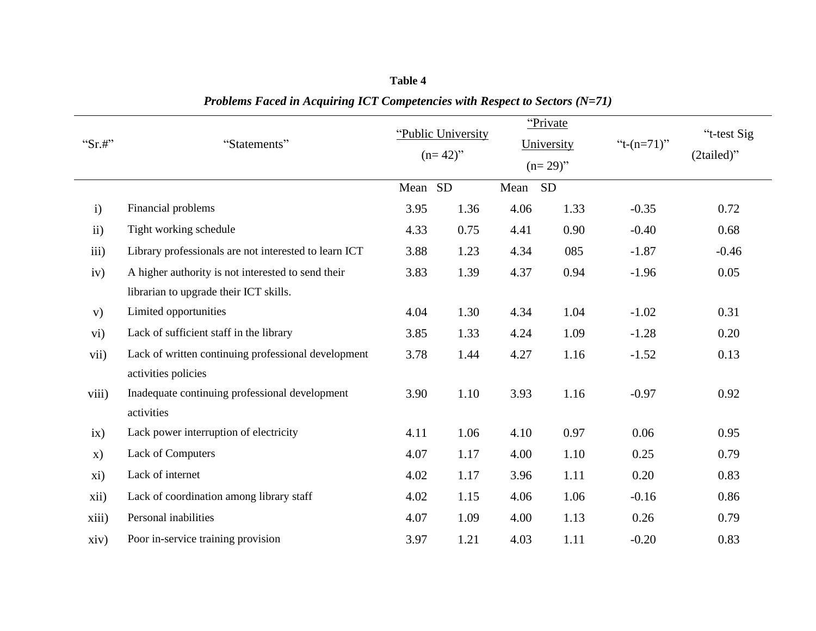|               |                                                       |         |                    |      | "Private"  |                |             |
|---------------|-------------------------------------------------------|---------|--------------------|------|------------|----------------|-------------|
| " $Sr.#$ "    | "Statements"                                          |         | "Public University |      | University | " $t-(n=71)$ " | "t-test Sig |
|               |                                                       |         | $(n=42)$ "         |      | $(n=29)$ " |                | (2tailed)"  |
|               |                                                       | Mean SD |                    | Mean | <b>SD</b>  |                |             |
| $\mathbf{i}$  | Financial problems                                    | 3.95    | 1.36               | 4.06 | 1.33       | $-0.35$        | 0.72        |
| $\mathbf{ii}$ | Tight working schedule                                | 4.33    | 0.75               | 4.41 | 0.90       | $-0.40$        | 0.68        |
| iii)          | Library professionals are not interested to learn ICT | 3.88    | 1.23               | 4.34 | 085        | $-1.87$        | $-0.46$     |
| iv)           | A higher authority is not interested to send their    | 3.83    | 1.39               | 4.37 | 0.94       | $-1.96$        | 0.05        |
|               | librarian to upgrade their ICT skills.                |         |                    |      |            |                |             |
| V)            | Limited opportunities                                 | 4.04    | 1.30               | 4.34 | 1.04       | $-1.02$        | 0.31        |
| $\rm vi)$     | Lack of sufficient staff in the library               | 3.85    | 1.33               | 4.24 | 1.09       | $-1.28$        | 0.20        |
| vii)          | Lack of written continuing professional development   | 3.78    | 1.44               | 4.27 | 1.16       | $-1.52$        | 0.13        |
|               | activities policies                                   |         |                    |      |            |                |             |
| viii)         | Inadequate continuing professional development        | 3.90    | 1.10               | 3.93 | 1.16       | $-0.97$        | 0.92        |
|               | activities                                            |         |                    |      |            |                |             |
| ix)           | Lack power interruption of electricity                | 4.11    | 1.06               | 4.10 | 0.97       | 0.06           | 0.95        |
| $\mathbf{x})$ | Lack of Computers                                     | 4.07    | 1.17               | 4.00 | 1.10       | 0.25           | 0.79        |
| xi)           | Lack of internet                                      | 4.02    | 1.17               | 3.96 | 1.11       | 0.20           | 0.83        |
| xii)          | Lack of coordination among library staff              | 4.02    | 1.15               | 4.06 | 1.06       | $-0.16$        | 0.86        |
| xiii)         | Personal inabilities                                  | 4.07    | 1.09               | 4.00 | 1.13       | 0.26           | 0.79        |
| xiv)          | Poor in-service training provision                    | 3.97    | 1.21               | 4.03 | 1.11       | $-0.20$        | 0.83        |

**Table 4** *Problems Faced in Acquiring ICT Competencies with Respect to Sectors (N=71)*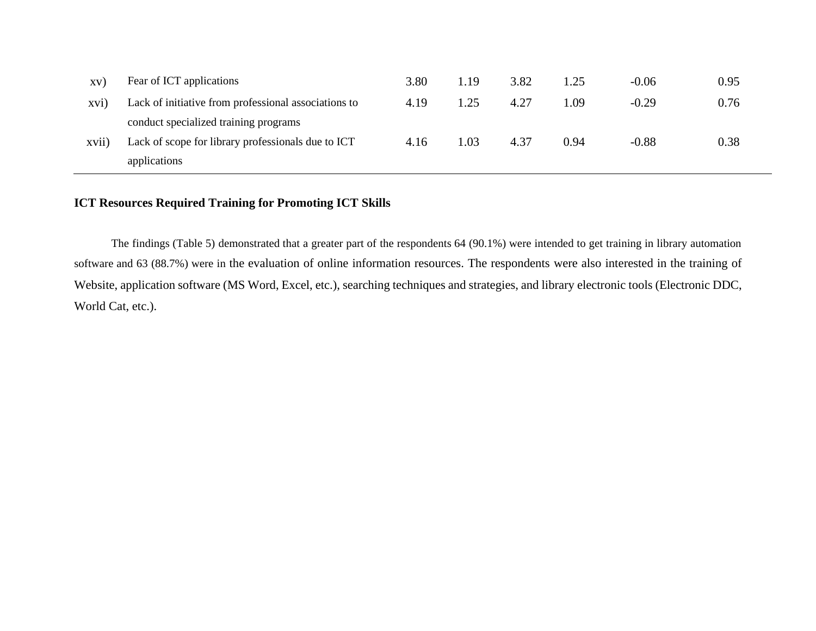| XV      | Fear of ICT applications                             | 3.80 | 1.19 | 3.82 | 1.25 | $-0.06$ | 0.95 |
|---------|------------------------------------------------------|------|------|------|------|---------|------|
| $XVI$ ) | Lack of initiative from professional associations to | 4.19 | 1.25 | 4.27 | 1.09 | $-0.29$ | 0.76 |
|         | conduct specialized training programs                |      |      |      |      |         |      |
| xvii)   | Lack of scope for library professionals due to ICT   | 4.16 | 1.03 | 4.37 | 0.94 | $-0.88$ | 0.38 |
|         | applications                                         |      |      |      |      |         |      |

## **ICT Resources Required Training for Promoting ICT Skills**

The findings (Table 5) demonstrated that a greater part of the respondents 64 (90.1%) were intended to get training in library automation software and 63 (88.7%) were in the evaluation of online information resources. The respondents were also interested in the training of Website, application software (MS Word, Excel, etc.), searching techniques and strategies, and library electronic tools (Electronic DDC, World Cat, etc.).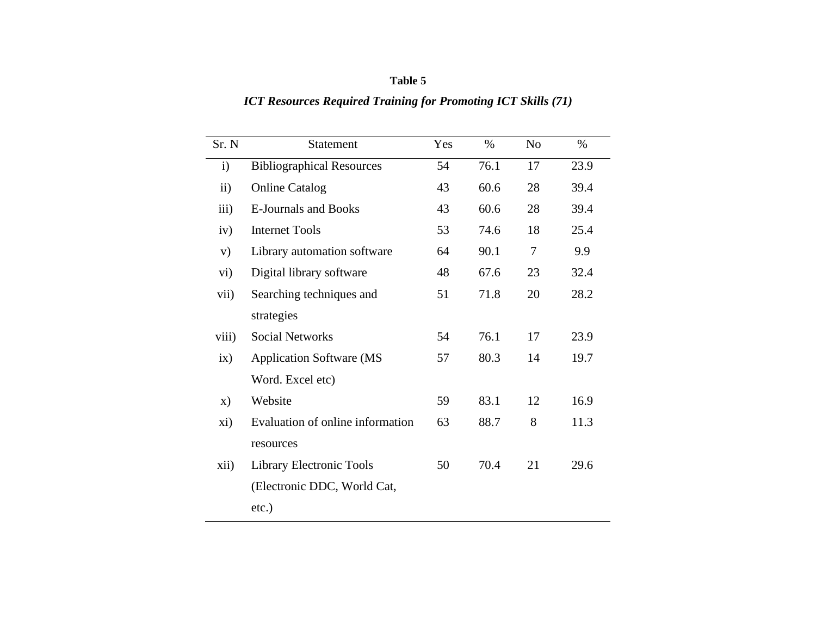## **Table 5**

# *ICT Resources Required Training for Promoting ICT Skills (71)*

| Sr. N         | <b>Statement</b>                 | Yes | $\%$ | N <sub>0</sub> | $\%$ |
|---------------|----------------------------------|-----|------|----------------|------|
| $\mathbf{i}$  | <b>Bibliographical Resources</b> | 54  | 76.1 | 17             | 23.9 |
| $\mathbf{ii}$ | <b>Online Catalog</b>            | 43  | 60.6 | 28             | 39.4 |
| iii)          | <b>E-Journals and Books</b>      | 43  | 60.6 | 28             | 39.4 |
| iv)           | <b>Internet Tools</b>            | 53  | 74.6 | 18             | 25.4 |
| V)            | Library automation software      | 64  | 90.1 | $\overline{7}$ | 9.9  |
| vi)           | Digital library software         | 48  | 67.6 | 23             | 32.4 |
| vii)          | Searching techniques and         | 51  | 71.8 | 20             | 28.2 |
|               | strategies                       |     |      |                |      |
| viii)         | <b>Social Networks</b>           | 54  | 76.1 | 17             | 23.9 |
| ix)           | <b>Application Software (MS)</b> | 57  | 80.3 | 14             | 19.7 |
|               | Word. Excel etc)                 |     |      |                |      |
| $\mathbf{x})$ | Website                          | 59  | 83.1 | 12             | 16.9 |
| xi)           | Evaluation of online information | 63  | 88.7 | 8              | 11.3 |
|               | resources                        |     |      |                |      |
| xii)          | Library Electronic Tools         | 50  | 70.4 | 21             | 29.6 |
|               | (Electronic DDC, World Cat,      |     |      |                |      |
|               | $etc.$ )                         |     |      |                |      |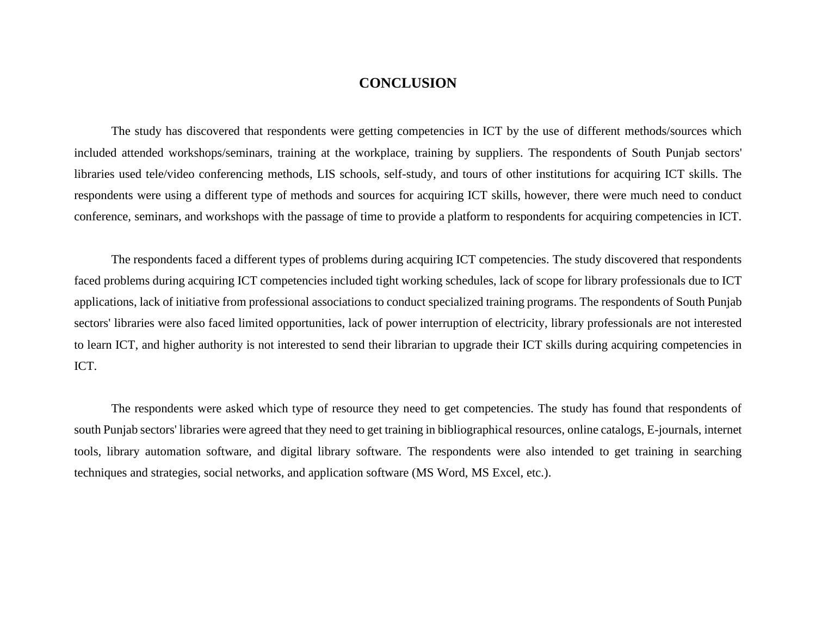## **CONCLUSION**

The study has discovered that respondents were getting competencies in ICT by the use of different methods/sources which included attended workshops/seminars, training at the workplace, training by suppliers. The respondents of South Punjab sectors' libraries used tele/video conferencing methods, LIS schools, self-study, and tours of other institutions for acquiring ICT skills. The respondents were using a different type of methods and sources for acquiring ICT skills, however, there were much need to conduct conference, seminars, and workshops with the passage of time to provide a platform to respondents for acquiring competencies in ICT.

The respondents faced a different types of problems during acquiring ICT competencies. The study discovered that respondents faced problems during acquiring ICT competencies included tight working schedules, lack of scope for library professionals due to ICT applications, lack of initiative from professional associations to conduct specialized training programs. The respondents of South Punjab sectors' libraries were also faced limited opportunities, lack of power interruption of electricity, library professionals are not interested to learn ICT, and higher authority is not interested to send their librarian to upgrade their ICT skills during acquiring competencies in ICT.

The respondents were asked which type of resource they need to get competencies. The study has found that respondents of south Punjab sectors' libraries were agreed that they need to get training in bibliographical resources, online catalogs, E-journals, internet tools, library automation software, and digital library software. The respondents were also intended to get training in searching techniques and strategies, social networks, and application software (MS Word, MS Excel, etc.).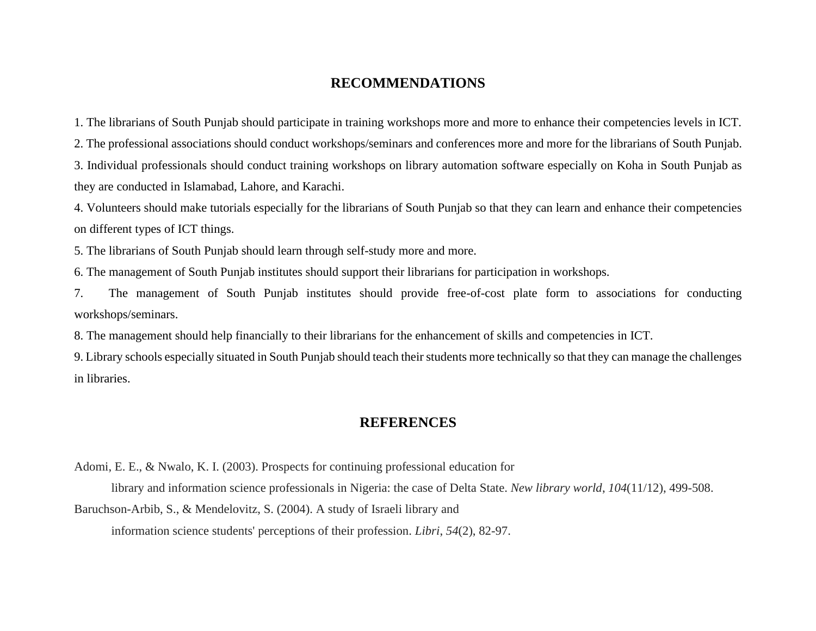## **RECOMMENDATIONS**

1. The librarians of South Punjab should participate in training workshops more and more to enhance their competencies levels in ICT. 2. The professional associations should conduct workshops/seminars and conferences more and more for the librarians of South Punjab. 3. Individual professionals should conduct training workshops on library automation software especially on Koha in South Punjab as they are conducted in Islamabad, Lahore, and Karachi.

4. Volunteers should make tutorials especially for the librarians of South Punjab so that they can learn and enhance their competencies on different types of ICT things.

5. The librarians of South Punjab should learn through self-study more and more.

6. The management of South Punjab institutes should support their librarians for participation in workshops.

7. The management of South Punjab institutes should provide free-of-cost plate form to associations for conducting workshops/seminars.

8. The management should help financially to their librarians for the enhancement of skills and competencies in ICT.

9. Library schools especially situated in South Punjab should teach their students more technically so that they can manage the challenges in libraries.

## **REFERENCES**

Adomi, E. E., & Nwalo, K. I. (2003). Prospects for continuing professional education for

library and information science professionals in Nigeria: the case of Delta State. *New library world*, *104*(11/12), 499-508. Baruchson-Arbib, S., & Mendelovitz, S. (2004). A study of Israeli library and information science students' perceptions of their profession. *Libri*, *54*(2), 82-97.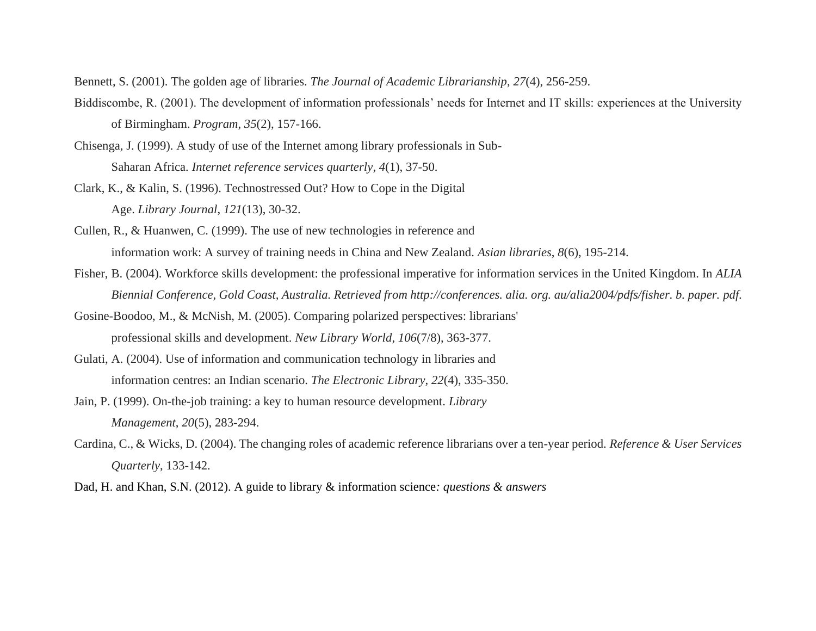Bennett, S. (2001). The golden age of libraries. *The Journal of Academic Librarianship*, *27*(4), 256-259.

- Biddiscombe, R. (2001). The development of information professionals' needs for Internet and IT skills: experiences at the University of Birmingham. *Program*, *35*(2), 157-166.
- Chisenga, J. (1999). A study of use of the Internet among library professionals in Sub-Saharan Africa. *Internet reference services quarterly*, *4*(1), 37-50.
- Clark, K., & Kalin, S. (1996). Technostressed Out? How to Cope in the Digital Age. *Library Journal*, *121*(13), 30-32.
- Cullen, R., & Huanwen, C. (1999). The use of new technologies in reference and information work: A survey of training needs in China and New Zealand. *Asian libraries*, *8*(6), 195-214.
- Fisher, B. (2004). Workforce skills development: the professional imperative for information services in the United Kingdom. In *ALIA Biennial Conference, Gold Coast, Australia. Retrieved from http://conferences. alia. org. au/alia2004/pdfs/fisher. b. paper. pdf*.
- Gosine-Boodoo, M., & McNish, M. (2005). Comparing polarized perspectives: librarians' professional skills and development. *New Library World*, *106*(7/8), 363-377.
- Gulati, A. (2004). Use of information and communication technology in libraries and information centres: an Indian scenario. *The Electronic Library*, *22*(4), 335-350.
- Jain, P. (1999). On-the-job training: a key to human resource development. *Library Management*, *20*(5), 283-294.
- Cardina, C., & Wicks, D. (2004). The changing roles of academic reference librarians over a ten-year period. *Reference & User Services Quarterly*, 133-142.
- Dad, H. and Khan, S.N. (2012). A guide to library & information science*: questions & answers*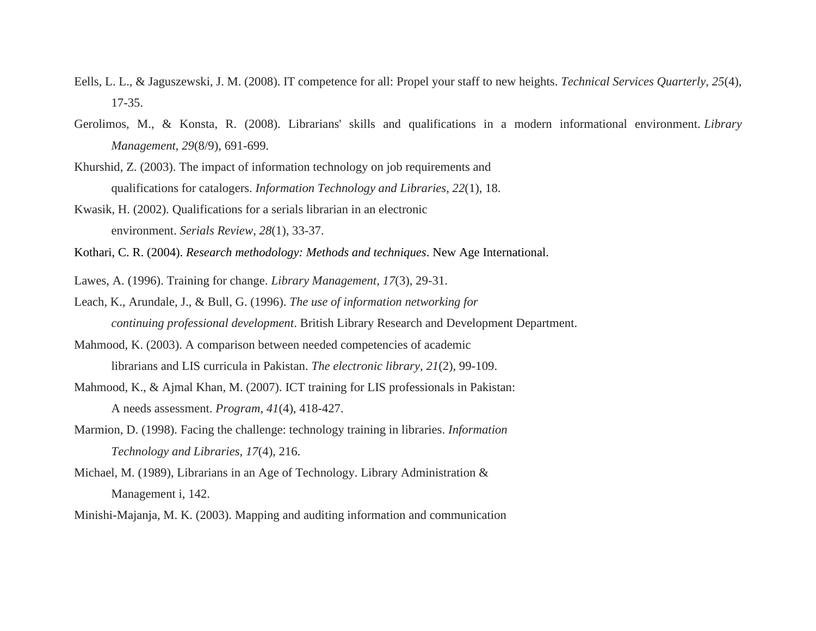- Eells, L. L., & Jaguszewski, J. M. (2008). IT competence for all: Propel your staff to new heights. *Technical Services Quarterly*, *25*(4), 17-35.
- Gerolimos, M., & Konsta, R. (2008). Librarians' skills and qualifications in a modern informational environment. *Library Management*, *29*(8/9), 691-699.
- Khurshid, Z. (2003). The impact of information technology on job requirements and qualifications for catalogers. *Information Technology and Libraries*, *22*(1), 18.
- Kwasik, H. (2002). Qualifications for a serials librarian in an electronic environment. *Serials Review*, *28*(1), 33-37.
- Kothari, C. R. (2004). *Research methodology: Methods and techniques*. New Age International.
- Lawes, A. (1996). Training for change. *Library Management*, *17*(3), 29-31.
- Leach, K., Arundale, J., & Bull, G. (1996). *The use of information networking for continuing professional development*. British Library Research and Development Department.
- Mahmood, K. (2003). A comparison between needed competencies of academic librarians and LIS curricula in Pakistan. *The electronic library*, *21*(2), 99-109.
- Mahmood, K., & Ajmal Khan, M. (2007). ICT training for LIS professionals in Pakistan: A needs assessment. *Program*, *41*(4), 418-427.
- Marmion, D. (1998). Facing the challenge: technology training in libraries. *Information Technology and Libraries*, *17*(4), 216.
- Michael, M. (1989), Librarians in an Age of Technology. Library Administration & Management i, 142.
- Minishi-Majanja, M. K. (2003). Mapping and auditing information and communication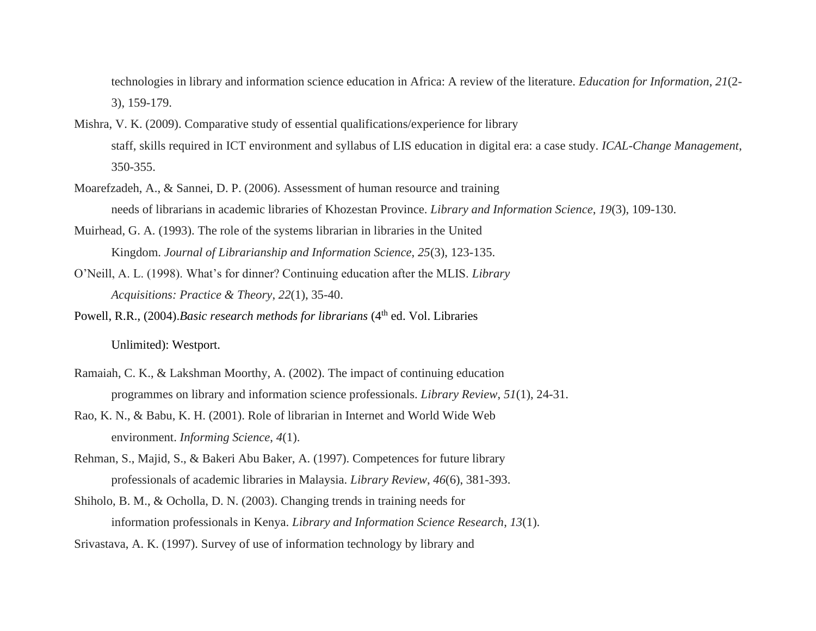technologies in library and information science education in Africa: A review of the literature. *Education for Information*, *21*(2- 3), 159-179.

- Mishra, V. K. (2009). Comparative study of essential qualifications/experience for library staff, skills required in ICT environment and syllabus of LIS education in digital era: a case study. *ICAL-Change Management*, 350-355.
- Moarefzadeh, A., & Sannei, D. P. (2006). Assessment of human resource and training needs of librarians in academic libraries of Khozestan Province. *Library and Information Science*, *19*(3), 109-130.
- Muirhead, G. A. (1993). The role of the systems librarian in libraries in the United Kingdom. *Journal of Librarianship and Information Science*, *25*(3), 123-135.
- O'Neill, A. L. (1998). What's for dinner? Continuing education after the MLIS. *Library Acquisitions: Practice & Theory*, *22*(1), 35-40.
- Powell, R.R., (2004).*Basic research methods for librarians* (4<sup>th</sup> ed. Vol. Libraries

Unlimited): Westport.

- Ramaiah, C. K., & Lakshman Moorthy, A. (2002). The impact of continuing education programmes on library and information science professionals. *Library Review*, *51*(1), 24-31.
- Rao, K. N., & Babu, K. H. (2001). Role of librarian in Internet and World Wide Web environment. *Informing Science*, *4*(1).
- Rehman, S., Majid, S., & Bakeri Abu Baker, A. (1997). Competences for future library professionals of academic libraries in Malaysia. *Library Review*, *46*(6), 381-393.
- Shiholo, B. M., & Ocholla, D. N. (2003). Changing trends in training needs for information professionals in Kenya. *Library and Information Science Research*, *13*(1).
- Srivastava, A. K. (1997). Survey of use of information technology by library and